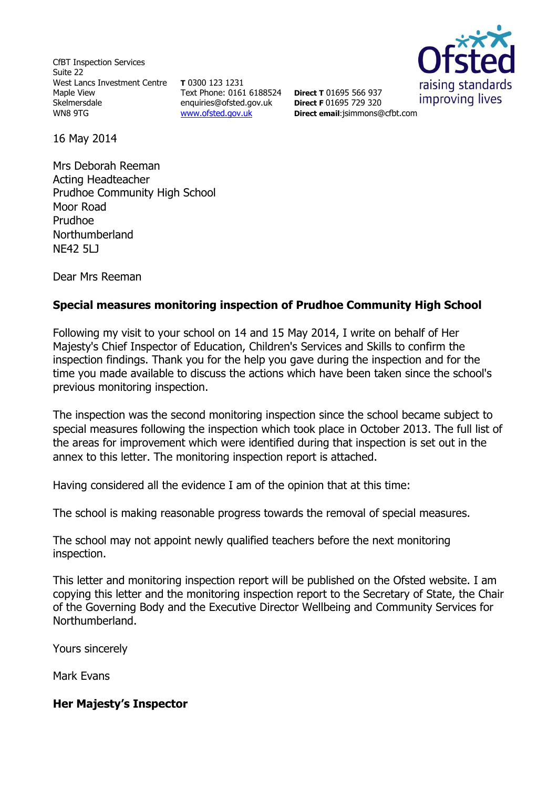CfBT Inspection Services Suite 22 West Lancs Investment Centre Maple View Skelmersdale WN8 9TG

**T** 0300 123 1231 Text Phone: 0161 6188524 **Direct T** 01695 566 937 enquiries@ofsted.gov.uk [www.ofsted.gov.uk](http://www.ofsted.gov.uk/)



**Direct F** 01695 729 320 **Direct email**:[jsimmons@cfbt.com](../AppData/Local/Microsoft/Windows/Temporary%20Internet%20Files/Content.IE5/YXX6Z17I/jsimmons@cfbt.com)

16 May 2014

Mrs Deborah Reeman Acting Headteacher Prudhoe Community High School Moor Road Prudhoe Northumberland NE42 5LJ

Dear Mrs Reeman

# **Special measures monitoring inspection of Prudhoe Community High School**

Following my visit to your school on 14 and 15 May 2014, I write on behalf of Her Majesty's Chief Inspector of Education, Children's Services and Skills to confirm the inspection findings. Thank you for the help you gave during the inspection and for the time you made available to discuss the actions which have been taken since the school's previous monitoring inspection.

The inspection was the second monitoring inspection since the school became subject to special measures following the inspection which took place in October 2013. The full list of the areas for improvement which were identified during that inspection is set out in the annex to this letter. The monitoring inspection report is attached.

Having considered all the evidence I am of the opinion that at this time:

The school is making reasonable progress towards the removal of special measures.

The school may not appoint newly qualified teachers before the next monitoring inspection.

This letter and monitoring inspection report will be published on the Ofsted website. I am copying this letter and the monitoring inspection report to the Secretary of State, the Chair of the Governing Body and the Executive Director Wellbeing and Community Services for Northumberland.

Yours sincerely

Mark Evans

#### **Her Majesty's Inspector**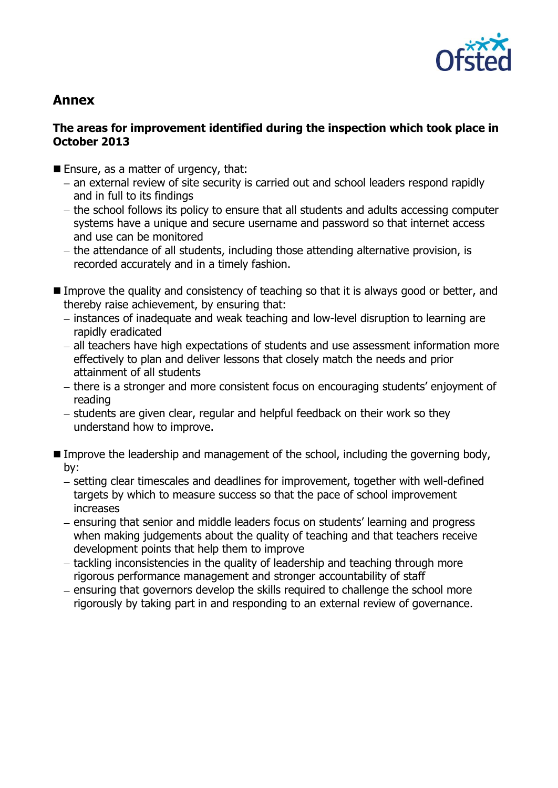

# **Annex**

# **The areas for improvement identified during the inspection which took place in October 2013**

- Ensure, as a matter of urgency, that:
	- an external review of site security is carried out and school leaders respond rapidly and in full to its findings
	- the school follows its policy to ensure that all students and adults accessing computer systems have a unique and secure username and password so that internet access and use can be monitored
	- the attendance of all students, including those attending alternative provision, is recorded accurately and in a timely fashion.
- Improve the quality and consistency of teaching so that it is always good or better, and thereby raise achievement, by ensuring that:
	- instances of inadequate and weak teaching and low-level disruption to learning are rapidly eradicated
	- $-$  all teachers have high expectations of students and use assessment information more effectively to plan and deliver lessons that closely match the needs and prior attainment of all students
	- there is a stronger and more consistent focus on encouraging students' enjoyment of reading
	- students are given clear, regular and helpful feedback on their work so they understand how to improve.
- **Improve the leadership and management of the school, including the governing body,** by:
	- setting clear timescales and deadlines for improvement, together with well-defined targets by which to measure success so that the pace of school improvement increases
	- ensuring that senior and middle leaders focus on students' learning and progress when making judgements about the quality of teaching and that teachers receive development points that help them to improve
	- $-$  tackling inconsistencies in the quality of leadership and teaching through more rigorous performance management and stronger accountability of staff
	- ensuring that governors develop the skills required to challenge the school more rigorously by taking part in and responding to an external review of governance.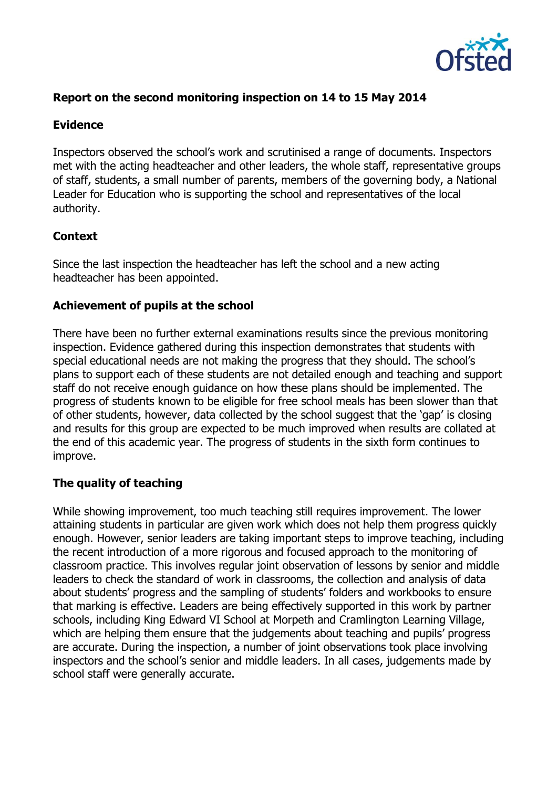

# **Report on the second monitoring inspection on 14 to 15 May 2014**

#### **Evidence**

Inspectors observed the school's work and scrutinised a range of documents. Inspectors met with the acting headteacher and other leaders, the whole staff, representative groups of staff, students, a small number of parents, members of the governing body, a National Leader for Education who is supporting the school and representatives of the local authority.

#### **Context**

Since the last inspection the headteacher has left the school and a new acting headteacher has been appointed.

#### **Achievement of pupils at the school**

There have been no further external examinations results since the previous monitoring inspection. Evidence gathered during this inspection demonstrates that students with special educational needs are not making the progress that they should. The school's plans to support each of these students are not detailed enough and teaching and support staff do not receive enough guidance on how these plans should be implemented. The progress of students known to be eligible for free school meals has been slower than that of other students, however, data collected by the school suggest that the 'gap' is closing and results for this group are expected to be much improved when results are collated at the end of this academic year. The progress of students in the sixth form continues to improve.

# **The quality of teaching**

While showing improvement, too much teaching still requires improvement. The lower attaining students in particular are given work which does not help them progress quickly enough. However, senior leaders are taking important steps to improve teaching, including the recent introduction of a more rigorous and focused approach to the monitoring of classroom practice. This involves regular joint observation of lessons by senior and middle leaders to check the standard of work in classrooms, the collection and analysis of data about students' progress and the sampling of students' folders and workbooks to ensure that marking is effective. Leaders are being effectively supported in this work by partner schools, including King Edward VI School at Morpeth and Cramlington Learning Village, which are helping them ensure that the judgements about teaching and pupils' progress are accurate. During the inspection, a number of joint observations took place involving inspectors and the school's senior and middle leaders. In all cases, judgements made by school staff were generally accurate.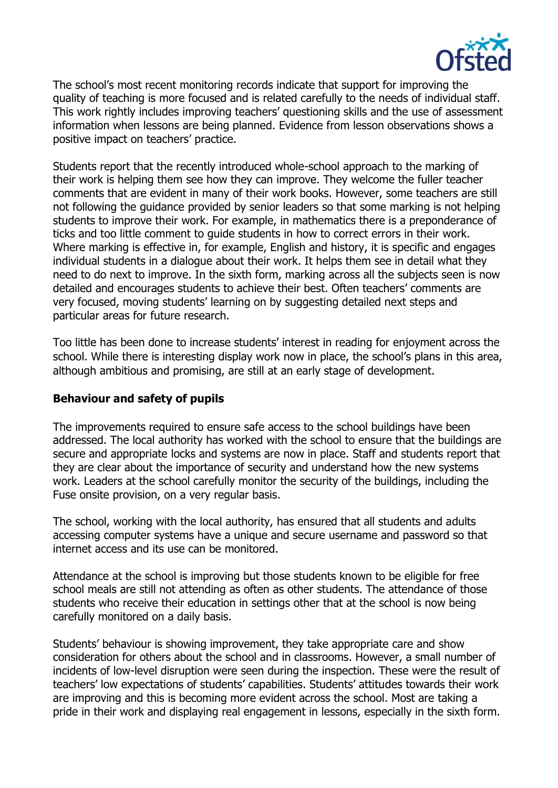

The school's most recent monitoring records indicate that support for improving the quality of teaching is more focused and is related carefully to the needs of individual staff. This work rightly includes improving teachers' questioning skills and the use of assessment information when lessons are being planned. Evidence from lesson observations shows a positive impact on teachers' practice.

Students report that the recently introduced whole-school approach to the marking of their work is helping them see how they can improve. They welcome the fuller teacher comments that are evident in many of their work books. However, some teachers are still not following the guidance provided by senior leaders so that some marking is not helping students to improve their work. For example, in mathematics there is a preponderance of ticks and too little comment to guide students in how to correct errors in their work. Where marking is effective in, for example, English and history, it is specific and engages individual students in a dialogue about their work. It helps them see in detail what they need to do next to improve. In the sixth form, marking across all the subjects seen is now detailed and encourages students to achieve their best. Often teachers' comments are very focused, moving students' learning on by suggesting detailed next steps and particular areas for future research.

Too little has been done to increase students' interest in reading for enjoyment across the school. While there is interesting display work now in place, the school's plans in this area, although ambitious and promising, are still at an early stage of development.

#### **Behaviour and safety of pupils**

The improvements required to ensure safe access to the school buildings have been addressed. The local authority has worked with the school to ensure that the buildings are secure and appropriate locks and systems are now in place. Staff and students report that they are clear about the importance of security and understand how the new systems work. Leaders at the school carefully monitor the security of the buildings, including the Fuse onsite provision, on a very regular basis.

The school, working with the local authority, has ensured that all students and adults accessing computer systems have a unique and secure username and password so that internet access and its use can be monitored.

Attendance at the school is improving but those students known to be eligible for free school meals are still not attending as often as other students. The attendance of those students who receive their education in settings other that at the school is now being carefully monitored on a daily basis.

Students' behaviour is showing improvement, they take appropriate care and show consideration for others about the school and in classrooms. However, a small number of incidents of low-level disruption were seen during the inspection. These were the result of teachers' low expectations of students' capabilities. Students' attitudes towards their work are improving and this is becoming more evident across the school. Most are taking a pride in their work and displaying real engagement in lessons, especially in the sixth form.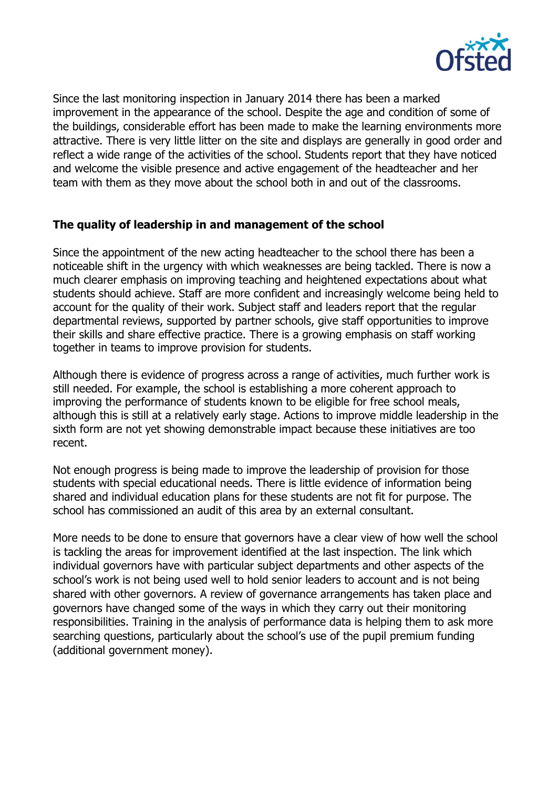

Since the last monitoring inspection in January 2014 there has been a marked improvement in the appearance of the school. Despite the age and condition of some of the buildings, considerable effort has been made to make the learning environments more attractive. There is very little litter on the site and displays are generally in good order and reflect a wide range of the activities of the school. Students report that they have noticed and welcome the visible presence and active engagement of the headteacher and her team with them as they move about the school both in and out of the classrooms.

# **The quality of leadership in and management of the school**

Since the appointment of the new acting headteacher to the school there has been a noticeable shift in the urgency with which weaknesses are being tackled. There is now a much clearer emphasis on improving teaching and heightened expectations about what students should achieve. Staff are more confident and increasingly welcome being held to account for the quality of their work. Subject staff and leaders report that the regular departmental reviews, supported by partner schools, give staff opportunities to improve their skills and share effective practice. There is a growing emphasis on staff working together in teams to improve provision for students.

Although there is evidence of progress across a range of activities, much further work is still needed. For example, the school is establishing a more coherent approach to improving the performance of students known to be eligible for free school meals, although this is still at a relatively early stage. Actions to improve middle leadership in the sixth form are not yet showing demonstrable impact because these initiatives are too recent.

Not enough progress is being made to improve the leadership of provision for those students with special educational needs. There is little evidence of information being shared and individual education plans for these students are not fit for purpose. The school has commissioned an audit of this area by an external consultant.

More needs to be done to ensure that governors have a clear view of how well the school is tackling the areas for improvement identified at the last inspection. The link which individual governors have with particular subject departments and other aspects of the school's work is not being used well to hold senior leaders to account and is not being shared with other governors. A review of governance arrangements has taken place and governors have changed some of the ways in which they carry out their monitoring responsibilities. Training in the analysis of performance data is helping them to ask more searching questions, particularly about the school's use of the pupil premium funding (additional government money).